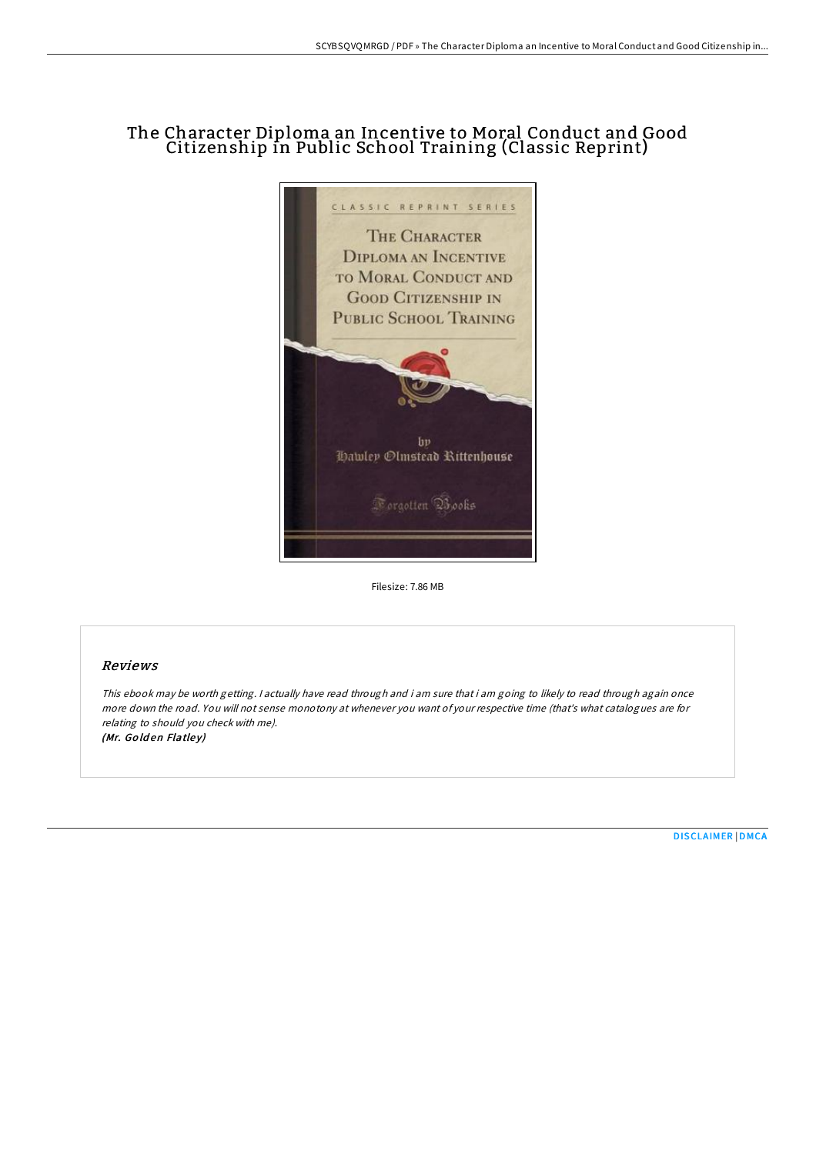## The Character Diploma an Incentive to Moral Conduct and Good Citizenship in Public School Training (Classic Reprint)



Filesize: 7.86 MB

## Reviews

This ebook may be worth getting. I actually have read through and i am sure that i am going to likely to read through again once more down the road. You will not sense monotony at whenever you want of your respective time (that's what catalogues are for relating to should you check with me). (Mr. Golden Flatley)

[DISCLAIMER](http://almighty24.tech/disclaimer.html) | [DMCA](http://almighty24.tech/dmca.html)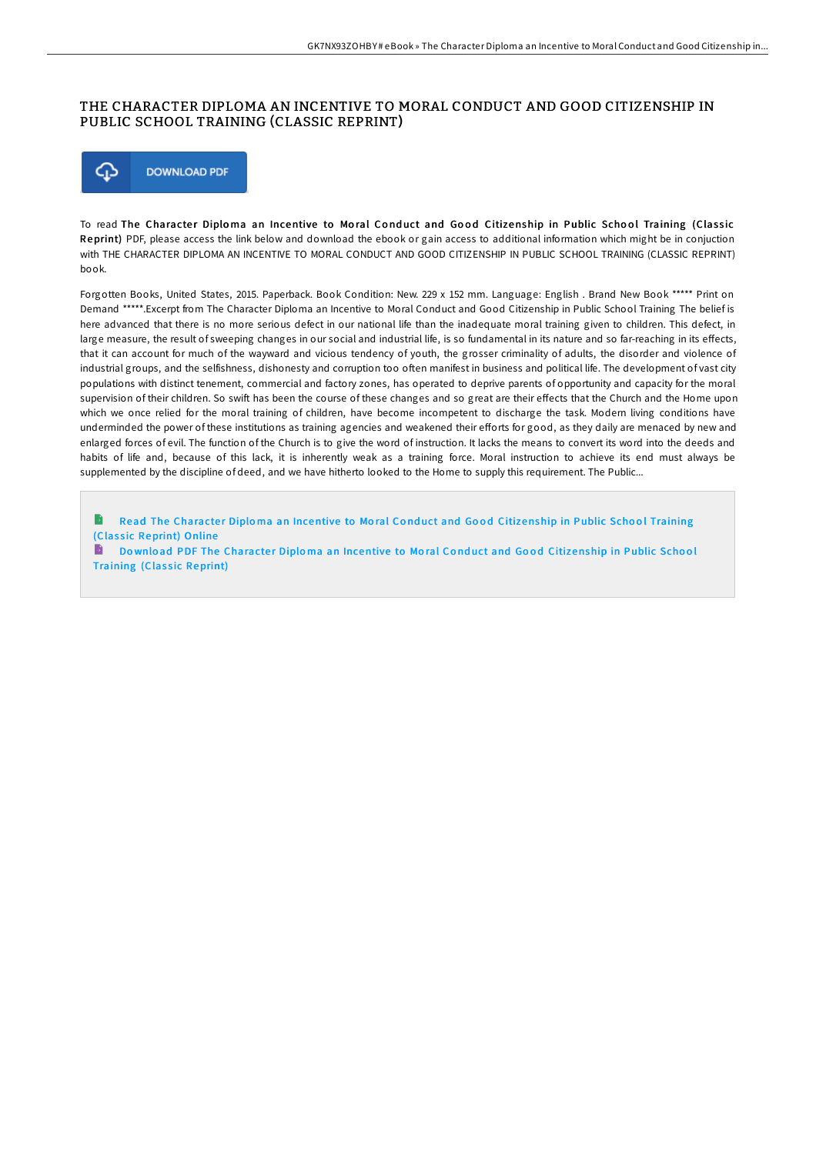## THE CHARACTER DIPLOMA AN INCENTIVE TO MORAL CONDUCT AND GOOD CITIZENSHIP IN PUBLIC SCHOOL TRAINING (CLASSIC REPRINT)



To read The Character Diploma an Incentive to Moral Conduct and Good Citizenship in Public School Training (Classic Reprint) PDF, please access the link below and download the ebook or gain access to additional information which might be in conjuction with THE CHARACTER DIPLOMA AN INCENTIVE TO MORAL CONDUCT AND GOOD CITIZENSHIP IN PUBLIC SCHOOL TRAINING (CLASSIC REPRINT) book.

Forgotten Books, United States, 2015. Paperback. Book Condition: New. 229 x 152 mm. Language: English . Brand New Book \*\*\*\*\* Print on Demand \*\*\*\*\*.Excerpt from The Character Diploma an Incentive to Moral Conduct and Good Citizenship in Public School Training The belief is here advanced that there is no more serious defect in our national life than the inadequate moral training given to children. This defect, in large measure, the result of sweeping changes in our social and industrial life, is so fundamental in its nature and so far-reaching in its effects, that it can account for much of the wayward and vicious tendency of youth, the grosser criminality of adults, the disorder and violence of industrial groups, and the selfishness, dishonesty and corruption too often manifest in business and political life. The development of vast city populations with distinct tenement, commercial and factory zones, has operated to deprive parents of opportunity and capacity for the moral supervision of their children. So swift has been the course of these changes and so great are their effects that the Church and the Home upon which we once relied for the moral training of children, have become incompetent to discharge the task. Modern living conditions have underminded the power of these institutions as training agencies and weakened their efforts for good, as they daily are menaced by new and enlarged forces of evil. The function of the Church is to give the word of instruction. It lacks the means to convert its word into the deeds and habits of life and, because of this lack, it is inherently weak as a training force. Moral instruction to achieve its end must always be supplemented by the discipline of deed, and we have hitherto looked to the Home to supply this requirement. The Public...

Read The Character Diploma an Incentive to Moral Conduct and Good [Citizenship](http://almighty24.tech/the-character-diploma-an-incentive-to-moral-cond.html) in Public School Training (Classic Reprint) Online

Download PDF The Character Diploma an Incentive to Moral Conduct and Good [Citizenship](http://almighty24.tech/the-character-diploma-an-incentive-to-moral-cond.html) in Public School **Training (Classic Reprint)**